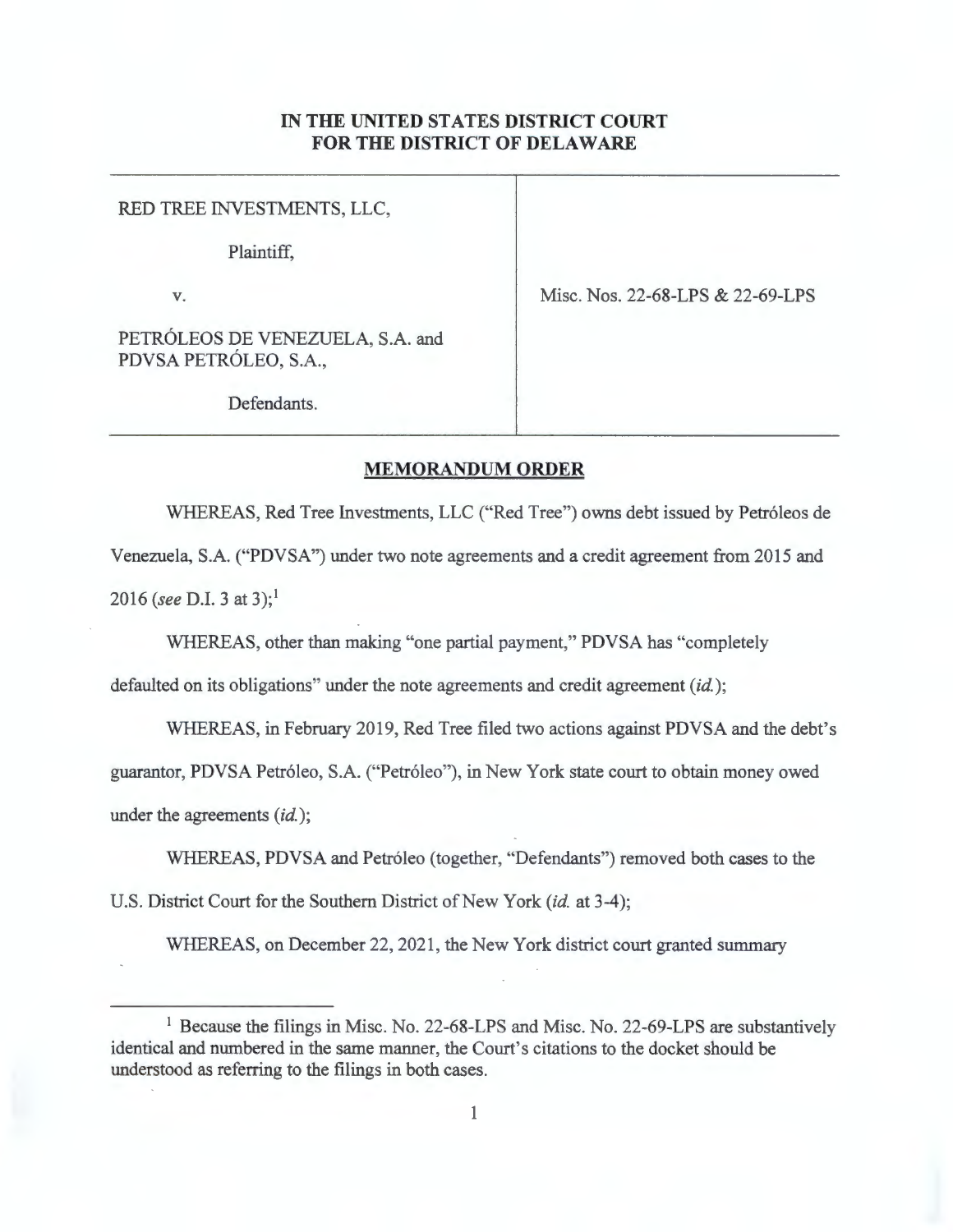## IN **THE UNITED STATES DISTRICT COURT FOR THE DISTRICT OF DELAWARE**

RED TREE INVESTMENTS, LLC,

Plaintiff,

V.

PETRÓLEOS DE VENEZUELA, S.A. and PDVSA PETRÓLEO, S.A.,

Misc. Nos. 22-68-LPS & 22-69-LPS

Defendants.

## **MEMORANDUM ORDER**

WHEREAS, Red Tree Investments, LLC ("Red Tree") owns debt issued by Petróleos de Venezuela, S.A. ("PDVSA") under two note agreements and a credit agreement from 2015 and 2016 (see D.I. 3 at 3);<sup>1</sup>

WHEREAS, other than making "one partial payment," PDVSA has "completely

defaulted on its obligations" under the note agreements and credit agreement (id.);

WHEREAS, in February 2019, Red Tree filed two actions against PDVSA and the debt's guarantor, PDVSA Petróleo, S.A. ("Petróleo"), in New York state court to obtain money owed under the agreements (id.);

WHEREAS, PDVSA and Petróleo (together, "Defendants") removed both cases to the U.S. District Court for the Southern District of New York (id. at 3-4);

WHEREAS, on December 22, 2021, the New York district court granted summary

<sup>1</sup> Because the filings in Misc. No. 22-68-LPS and Misc. No. 22-69-LPS are substantively identical and numbered in the same manner, the Court's citations to the docket should be understood as referring to the filings in both cases.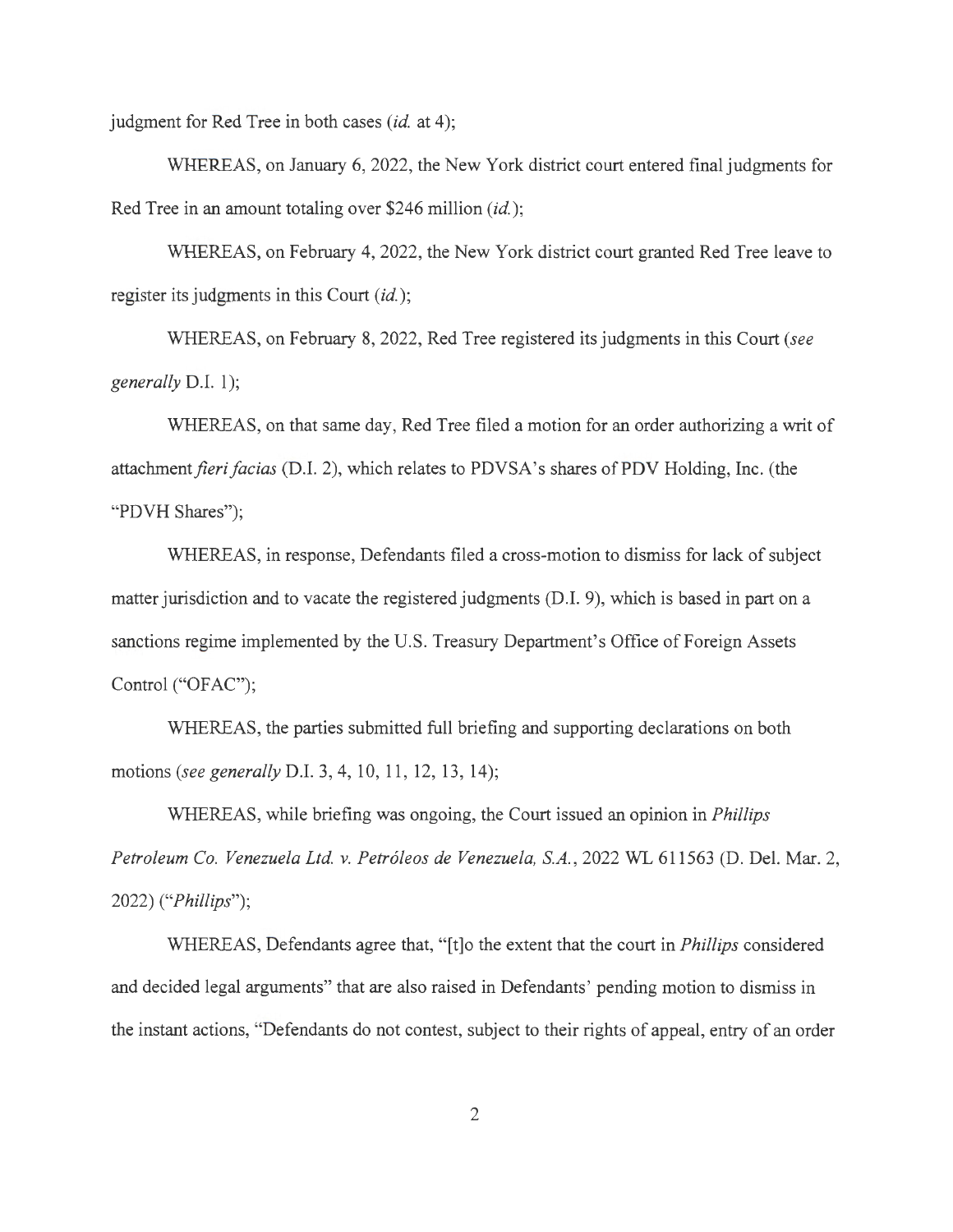judgment for Red Tree in both cases  $(id.$  at 4);

WHEREAS, on January 6, 2022, the New York district court entered final judgments for Red Tree in an amount totaling over \$246 million  $(id)$ ;

WHEREAS, on February 4, 2022, the New York district court granted Red Tree leave to register its judgments in this Court *(id.)*;

WHEREAS, on February 8, 2022, Red Tree registered its judgments in this Court *(see generally* D.I. 1);

WHEREAS, on that same day, Red Tree filed a motion for an order authorizing a writ of *attachmentfierifacias* (D.I. 2), which relates to PDVSA's shares of PDV Holding, Inc. (the "PDVH Shares");

WHEREAS, in response, Defendants filed a cross-motion to dismiss for lack of subject matter jurisdiction and to vacate the registered judgments (D.I. 9), which is based in part on a sanctions regime implemented by the U.S. Treasury Department's Office of Foreign Assets Control ("OFAC");

WHEREAS, the parties submitted full briefing and supporting declarations on both motions *(see generally* D.I. 3, 4, 10, 11, 12, 13, 14);

WHEREAS, while briefing was ongoing, the Court issued an opinion in *Phillips*  Petroleum Co. Venezuela Ltd. v. Petróleos de Venezuela, S.A., 2022 WL 611563 (D. Del. Mar. 2, 2022) *("Phillips");* 

WHEREAS, Defendants agree that, "[t]o the extent that the court in *Phillips* considered and decided legal arguments" that are also raised in Defendants' pending motion to dismiss in the instant actions, "Defendants do not contest, subject to their rights of appeal, entry of an order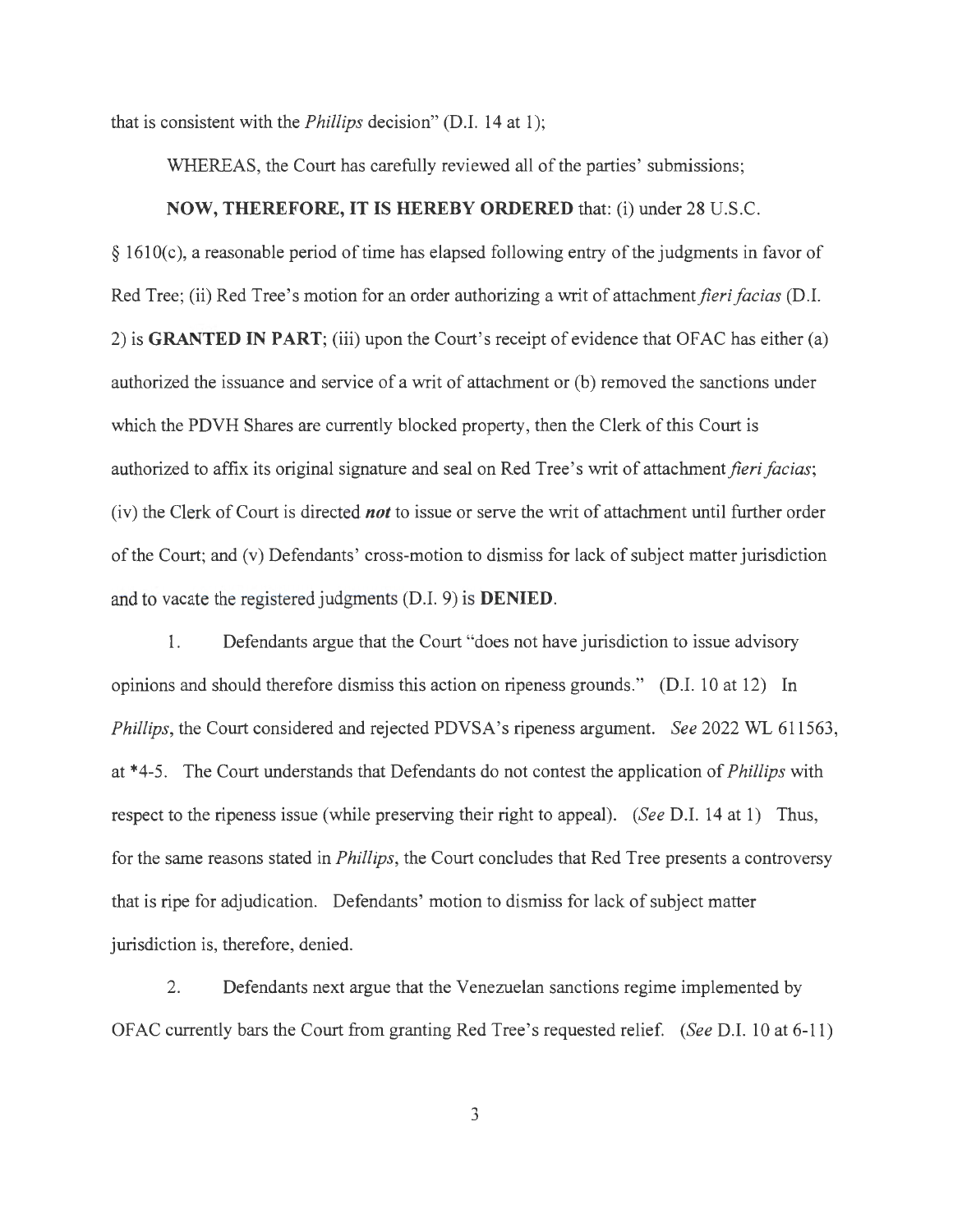that is consistent with the *Phillips* decision" (D.I. 14 at 1);

WHEREAS, the Court has carefully reviewed all of the parties' submissions;

## **NOW, THEREFORE, IT IS HEREBY ORDERED** that: (i) under 28 U.S.C.

 $§$  1610(c), a reasonable period of time has elapsed following entry of the judgments in favor of Red Tree; (ii) Red Tree's motion for an order authorizing a writ of attachment *fieri facias* (D.I. 2) is **GRANTED IN PART;** (iii) upon the Court's receipt of evidence that OFAC has either (a) authorized the issuance and service of a writ of attachment or (b) removed the sanctions under which the PDVH Shares are currently blocked property, then the Clerk of this Court is authorized to affix its original signature and seal on Red Tree's writ of attachment *fieri facias*; (iv) the Clerk of Court is directed *not* to issue or serve the writ of attachment until further order of the Court; and (v) Defendants' cross-motion to dismiss for lack of subject matter jurisdiction and to vacate the registered judgments (D.I. 9) is **DENIED.** 

1. Defendants argue that the Court "does not have jurisdiction to issue advisory opinions and should therefore dismiss this action on ripeness grounds." (D.I. 10 at 12) In *Phillips,* the Court considered and rejected PDVSA's ripeness argument. *See* 2022 WL 611563, at \*4-5. The Court understands that Defendants do not contest the application of *Phillips* with respect to the ripeness issue (while preserving their right to appeal). *(See* D.I. 14 at 1) Thus, for the same reasons stated in *Phillips,* the Court concludes that Red Tree presents a controversy that is ripe for adjudication. Defendants' motion to dismiss for lack of subject matter jurisdiction is, therefore, denied.

2. Defendants next argue that the Venezuelan sanctions regime implemented by OFAC currently bars the Court from granting Red Tree's requested relief. *(See* D.I. 10 at 6-11 )

3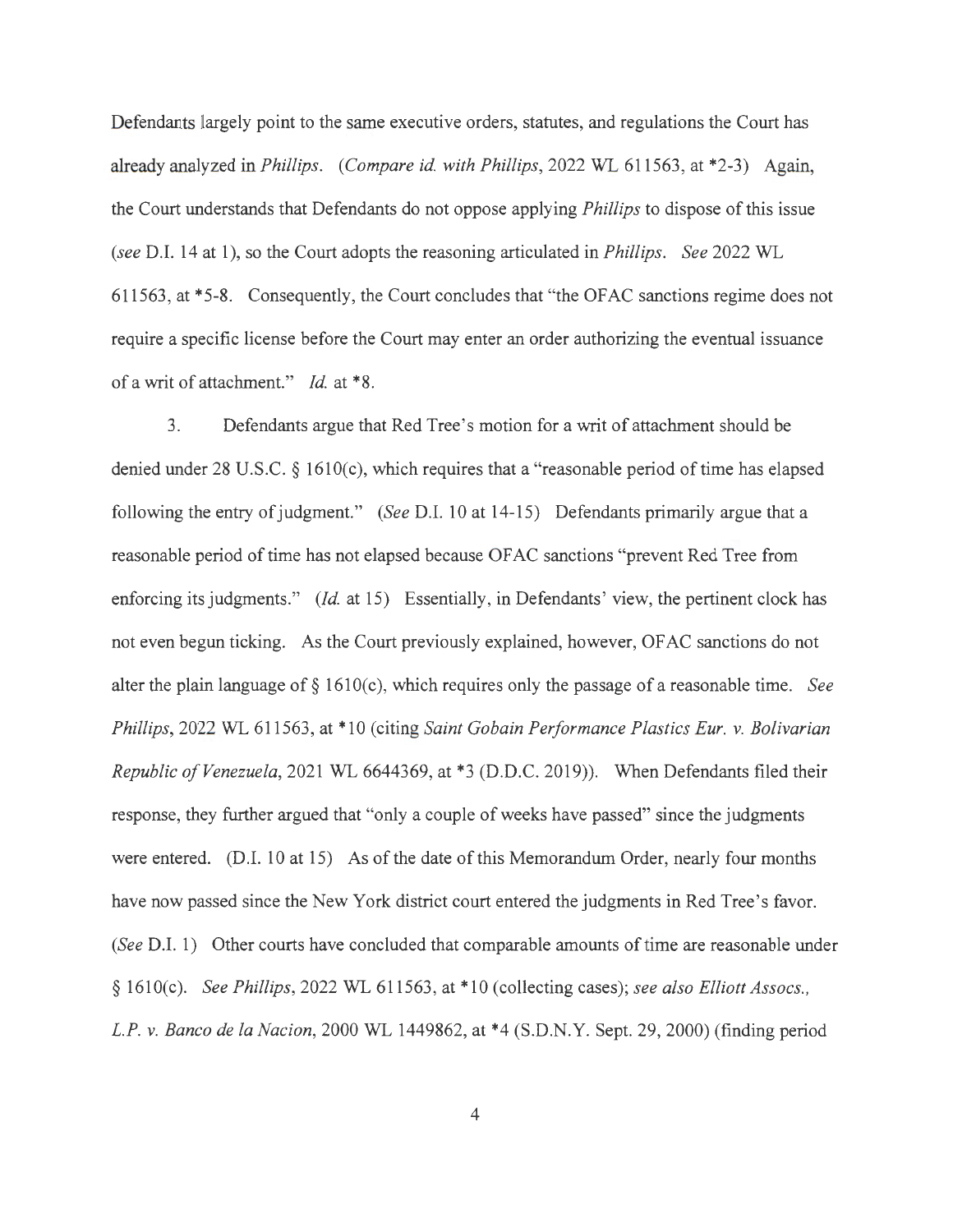Defendants largely point to the same executive orders, statutes, and regulations the Court has already analyzed in *Phillips. (Compare id. with Phillips,* 2022 WL 611563, at \*2-3) Again, the Court understands that Defendants do not oppose applying *Phillips* to dispose of this issue *(see* D.I. 14 at 1), so the Court adopts the reasoning articulated in *Phillips. See* 2022 WL 611563, at \*5-8. Consequently, the Court concludes that "the OFAC sanctions regime does not require a specific license before the Court may enter an order authorizing the eventual issuance ofa writ of attachment." *Id.* at \*8.

3. Defendants argue that Red Tree's motion for a writ of attachment should be denied under 28 U.S.C. § 1610(c), which requires that a "reasonable period of time has elapsed following the entry of judgment." *(See* D.I. 10 at 14-15) Defendants primarily argue that a reasonable period of time has not elapsed because OFAC sanctions "prevent Red Tree from enforcing its judgments." (*Id.* at 15) Essentially, in Defendants' view, the pertinent clock has not even begun ticking. As the Court previously explained, however, OF AC sanctions do not alter the plain language of § 1610(c), which requires only the passage of a reasonable time. *See Phillips,* 2022 WL 611563, at \*10 (citing *Saint Gobain Performance Plastics Eur. v. Bolivarian Republic of Venezuela,* 2021 WL 6644369, at \*3 (D.D.C. 2019)). When Defendants filed their response, they further argued that "only a couple of weeks have passed" since the judgments were entered. (D.I. 10 at 15) As of the date of this Memorandum Order, nearly four months have now passed since the New York district court entered the judgments in Red Tree's favor. *(See* D.I. 1) Other courts have concluded that comparable amounts of time are reasonable under § 1610(c). *See Phillips,* 2022 WL 611563, at\* 10 (collecting cases); *see also Elliott Assocs., L.P. v. Banco de la Nacion,* 2000 WL 1449862, at \*4 (S.D.N.Y. Sept. 29, 2000) (finding period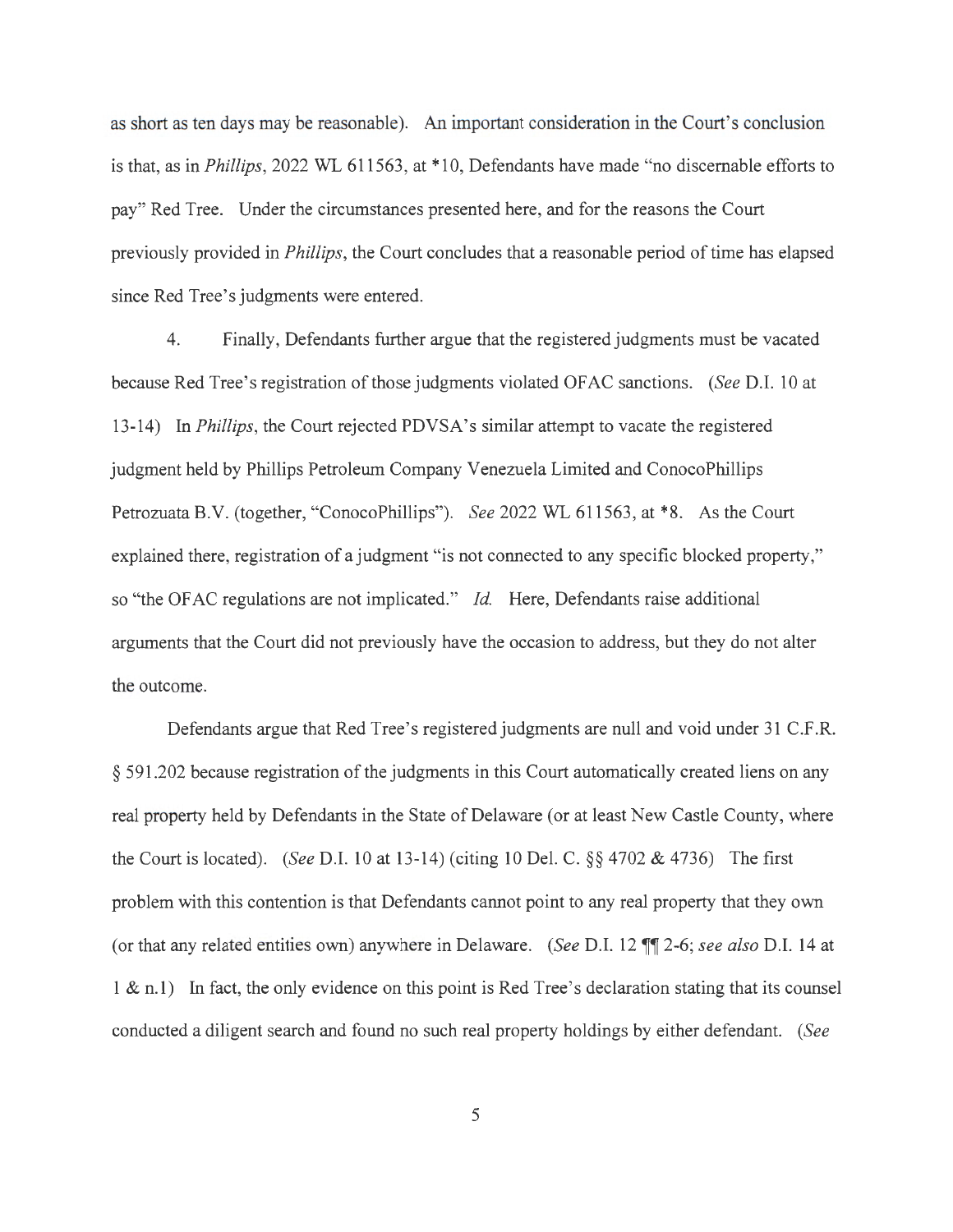as short as ten days may be reasonable). An important consideration in the Court's conclusion is that, as in *Phillips,* 2022 WL 611563, at \*10, Defendants have made "no discernable efforts to pay" Red Tree. Under the circumstances presented here, and for the reasons the Court previously provided in *Phillips,* the Court concludes that a reasonable period oftime has elapsed since Red Tree's judgments were entered.

4. Finally, Defendants further argue that the registered judgments must be vacated because Red Tree's registration of those judgments violated OFAC sanctions. *(See* D.I. 10 at 13-14) In *Phillips,* the Court rejected PDVSA's similar attempt to vacate the registered judgment held by Phillips Petroleum Company Venezuela Limited and ConocoPhillips Petrozuata B.V. (together, "ConocoPhillips"). *See* 2022 WL 611563, at \*8. As the Court explained there, registration of a judgment "is not connected to any specific blocked property," so "the OF AC regulations are not implicated." *Id.* Here, Defendants raise additional arguments that the Court did not previously have the occasion to address, but they do not alter the outcome.

Defendants argue that Red Tree's registered judgments are null and void under 31 C.F.R. § 591 .202 because registration of the judgments in this Court automatically created liens on any real property held by Defendants in the State of Delaware (or at least New Castle County, where the Court is located). *(See* D.I. 10 at 13-14) (citing 10 Del. C. §§ 4702 & 4736) The first problem with this contention is that Defendants cannot point to any real property that they own (or that any related entities own) anywhere in Delaware. *(See D.I. 12* **11** 2-6; *see also D.I. 14 at* 1 & n.1) In fact, the only evidence on this point is Red Tree's declaration stating that its counsel conducted a diligent search and found no such real property holdings by either defendant. *(See* 

5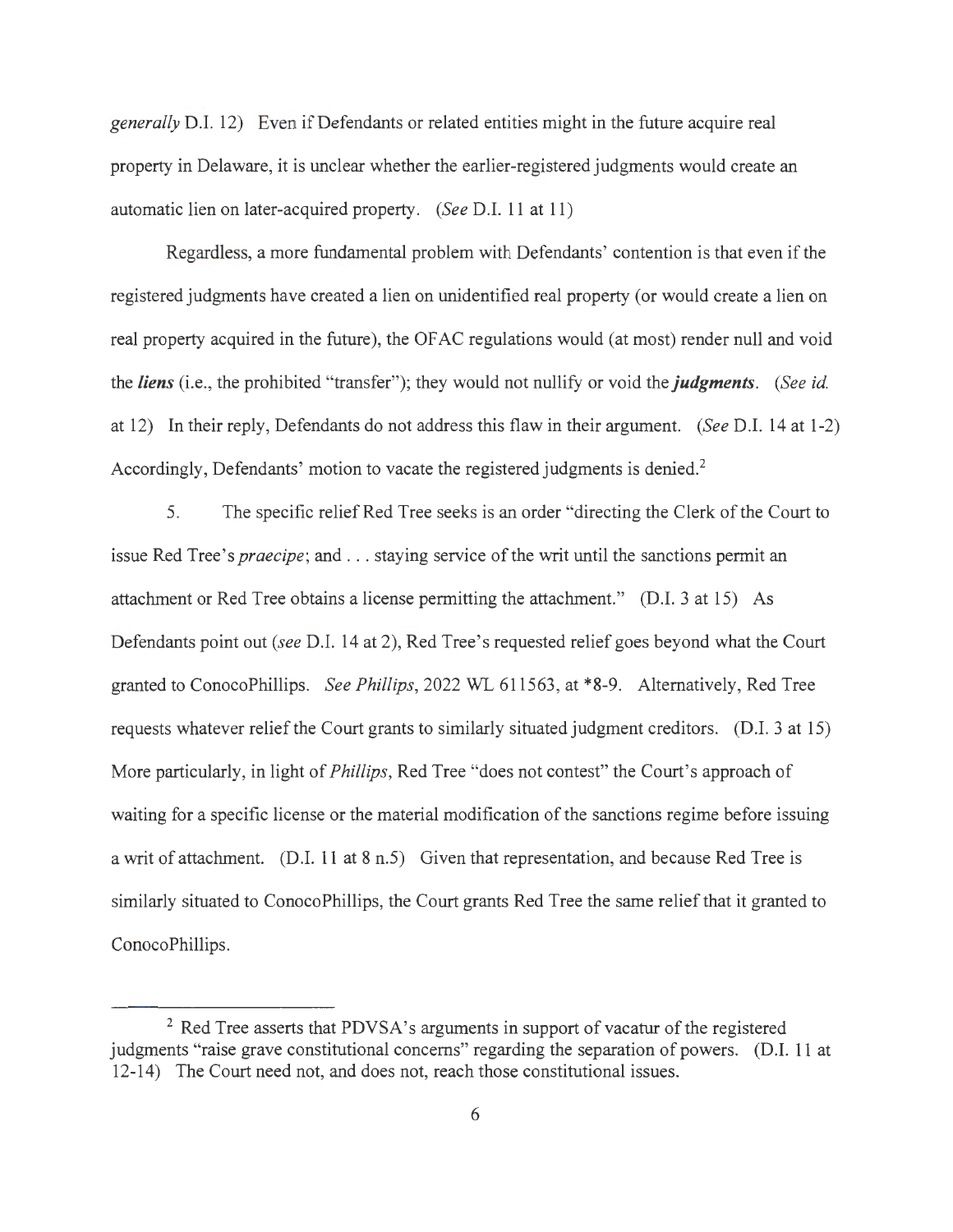*generally* D.I. 12) Even if Defendants or related entities might in the future acquire real property in Delaware, it is unclear whether the earlier-registered judgments would create an automatic lien on later-acquired property. *(See* D.I. 11 at 11)

Regardless, a more fundamental problem with Defendants' contention is that even if the registered judgments have created a lien on unidentified real property ( or would create a lien on real property acquired in the future), the OFAC regulations would (at most) render null and void the *liens* (i.e., the prohibited "transfer"); they would not nullify or void the *judgments. (See id.*  at 12) In their reply, Defendants do not address this flaw in their argument. *(See* D.I. 14 at 1-2) Accordingly, Defendants' motion to vacate the registered judgments is denied.<sup>2</sup>

5. The specific relief Red Tree seeks is an order "directing the Clerk of the Court to issue Red Tree's *praecipe;* and ... staying service of the writ until the sanctions permit an attachment or Red Tree obtains a license permitting the attachment." (D.I. 3 at 15) As Defendants point out *(see* D.I. 14 at 2), Red Tree's requested relief goes beyond what the Court granted to ConocoPhillips. *See Phillips,* 2022 WL 611563, at \*8-9. Alternatively, Red Tree requests whatever relief the Court grants to similarly situated judgment creditors. (D.I. 3 at 15) More particularly, in light of *Phillips,* Red Tree "does not contest" the Court's approach of waiting for a specific license or the material modification of the sanctions regime before issuing a writ of attachment. (D.I. 11 at 8 n.5) Given that representation, and because Red Tree is similarly situated to ConocoPhillips, the Court grants Red Tree the same relief that it granted to ConocoPhillips.

<sup>&</sup>lt;sup>2</sup> Red Tree asserts that PDVSA's arguments in support of vacatur of the registered judgments "raise grave constitutional concerns" regarding the separation of powers. (D.I. 11 at 12-14) The Court need not, and does not, reach those constitutional issues.